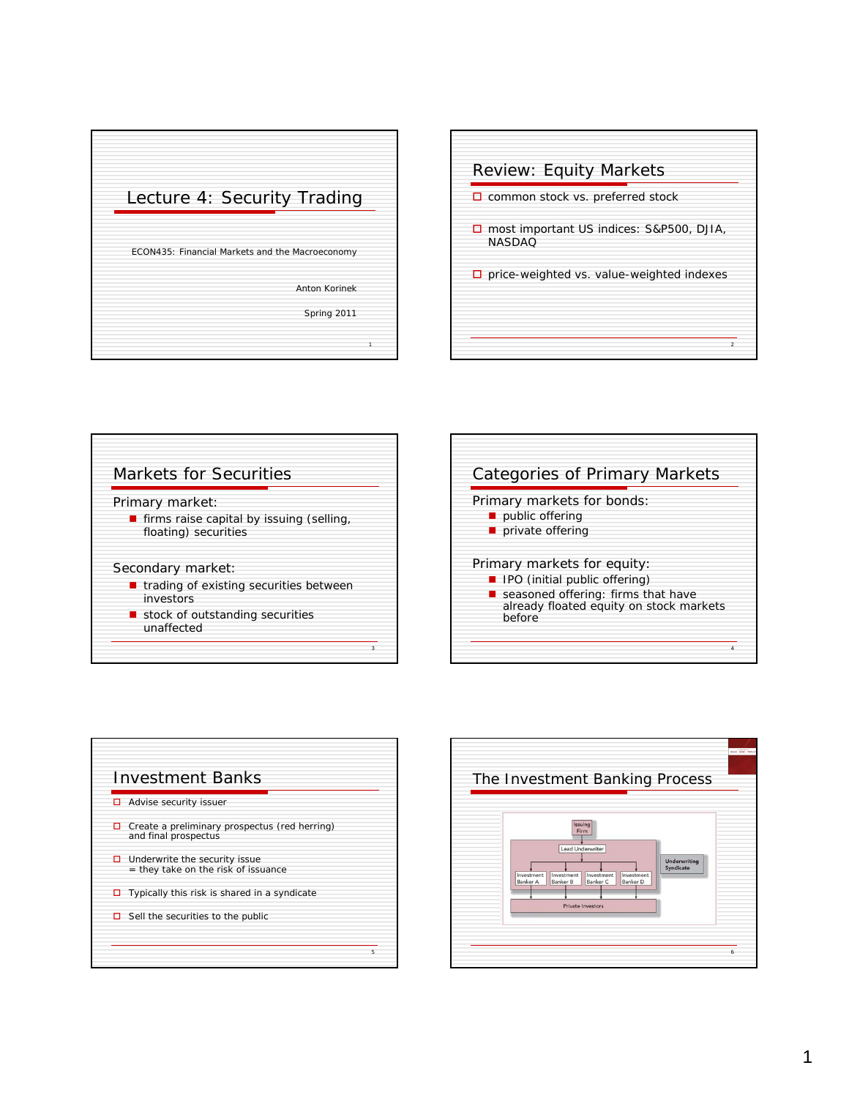









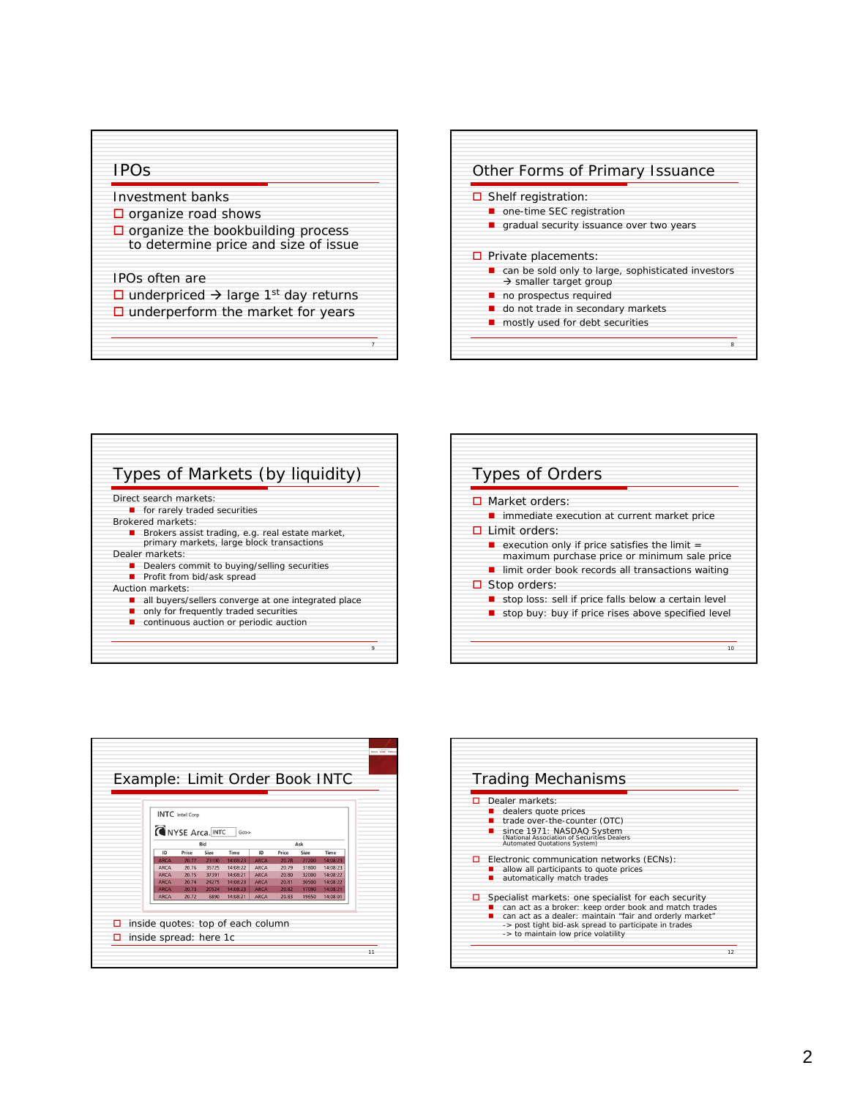## IPOs

Investment banks

 $\square$  organize road shows

- $\square$  organize the bookbuilding process to determine price and size of issue
- IPOs often are
- $\square$  underpriced  $\rightarrow$  large 1<sup>st</sup> day returns
- $\square$  underperform the market for years

7





| $\Box$ Market orders:                                |
|------------------------------------------------------|
| immediate execution at current market price          |
| $\Box$ Limit orders:                                 |
| execution only if price satisfies the limit $=$      |
| maximum purchase price or minimum sale price         |
| limit order book records all transactions waiting    |
| $\Box$ Stop orders:                                  |
| stop loss: sell if price falls below a certain level |
|                                                      |



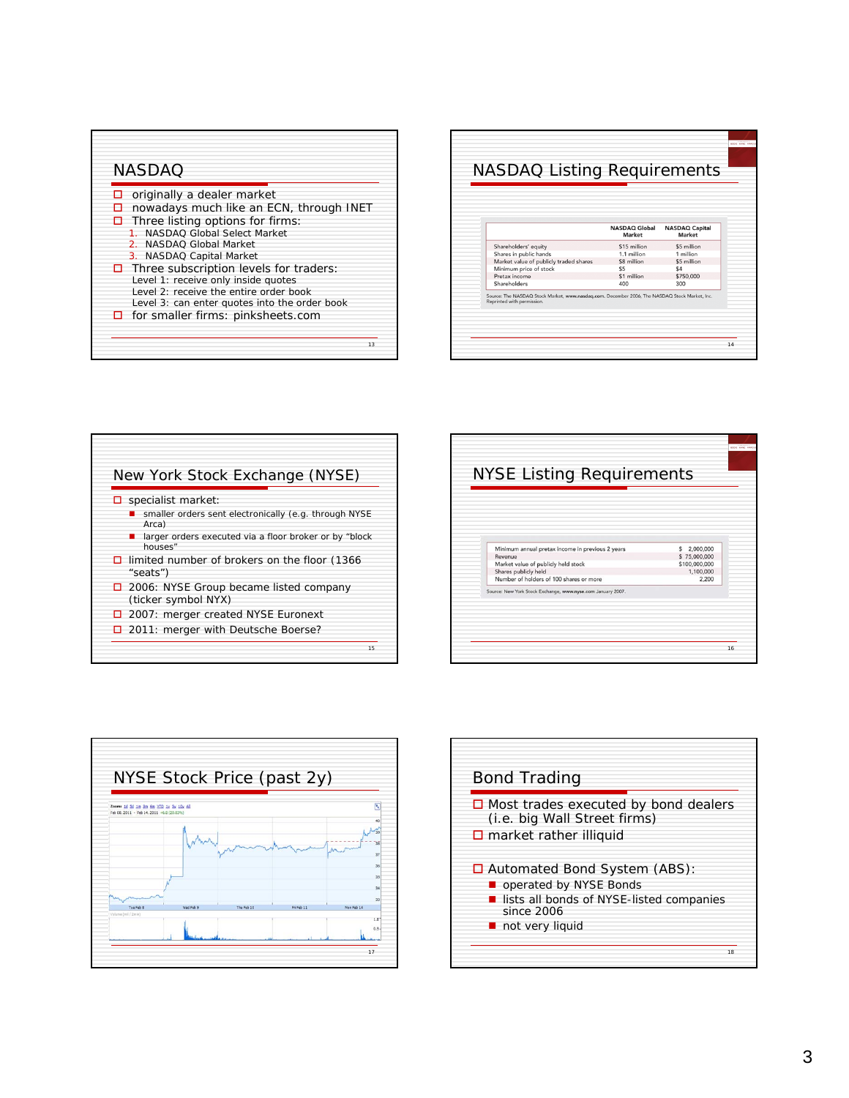|   | $\Box$ originally a dealer market             |
|---|-----------------------------------------------|
| □ | nowadays much like an ECN, through INET       |
|   | $\Box$ Three listing options for firms:       |
|   | 1. NASDAO Global Select Market                |
|   | 2. NASDAO Global Market                       |
|   | 3. NASDAQ Capital Market                      |
|   | $\Box$ Three subscription levels for traders: |
|   | Level 1: receive only inside quotes           |
|   | Level 2: receive the entire order book        |
|   | Level 3: can enter quotes into the order book |
|   | $\Box$ for smaller firms: pinksheets.com      |

|                                        | <b>NASDAQ Global</b> | <b>NASDAQ Capital</b> |
|----------------------------------------|----------------------|-----------------------|
|                                        | Market               | Market                |
| Shareholders' equity                   | \$15 million         | \$5 million           |
| Shares in public hands                 | 1.1 million          | 1 million             |
| Market value of publicly traded shares | \$8 million          | \$5 million           |
| Minimum price of stock                 | \$5                  | \$4                   |
| Pretax income                          | \$1 million          | \$750,000             |
|                                        |                      |                       |